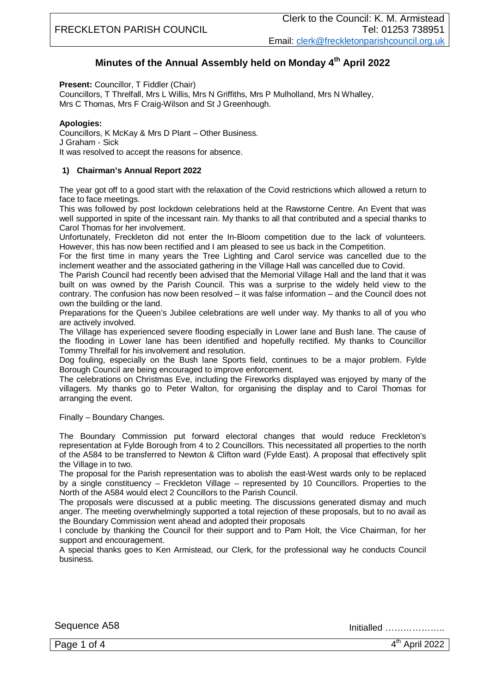# **Minutes of the Annual Assembly held on Monday 4 th April 2022**

**Present:** Councillor, T Fiddler (Chair)

Councillors, T Threlfall, Mrs L Willis, Mrs N Griffiths, Mrs P Mulholland, Mrs N Whalley, Mrs C Thomas, Mrs F Craig-Wilson and St J Greenhough.

## **Apologies:**

Councillors, K McKay & Mrs D Plant – Other Business. J Graham - Sick It was resolved to accept the reasons for absence.

## **1) Chairman's Annual Report 2022**

The year got off to a good start with the relaxation of the Covid restrictions which allowed a return to face to face meetings.

This was followed by post lockdown celebrations held at the Rawstorne Centre. An Event that was well supported in spite of the incessant rain. My thanks to all that contributed and a special thanks to Carol Thomas for her involvement.

Unfortunately, Freckleton did not enter the In-Bloom competition due to the lack of volunteers. However, this has now been rectified and I am pleased to see us back in the Competition.

For the first time in many years the Tree Lighting and Carol service was cancelled due to the inclement weather and the associated gathering in the Village Hall was cancelled due to Covid.

The Parish Council had recently been advised that the Memorial Village Hall and the land that it was built on was owned by the Parish Council. This was a surprise to the widely held view to the contrary. The confusion has now been resolved – it was false information – and the Council does not own the building or the land.

Preparations for the Queen's Jubilee celebrations are well under way. My thanks to all of you who are actively involved.

The Village has experienced severe flooding especially in Lower lane and Bush lane. The cause of the flooding in Lower lane has been identified and hopefully rectified. My thanks to Councillor Tommy Threlfall for his involvement and resolution.

Dog fouling, especially on the Bush lane Sports field, continues to be a major problem. Fylde Borough Council are being encouraged to improve enforcement.

The celebrations on Christmas Eve, including the Fireworks displayed was enjoyed by many of the villagers. My thanks go to Peter Walton, for organising the display and to Carol Thomas for arranging the event.

#### Finally – Boundary Changes.

The Boundary Commission put forward electoral changes that would reduce Freckleton's representation at Fylde Borough from 4 to 2 Councillors. This necessitated all properties to the north of the A584 to be transferred to Newton & Clifton ward (Fylde East). A proposal that effectively split the Village in to two.

The proposal for the Parish representation was to abolish the east-West wards only to be replaced by a single constituency – Freckleton Village – represented by 10 Councillors. Properties to the North of the A584 would elect 2 Councillors to the Parish Council.

The proposals were discussed at a public meeting. The discussions generated dismay and much anger. The meeting overwhelmingly supported a total rejection of these proposals, but to no avail as the Boundary Commission went ahead and adopted their proposals

I conclude by thanking the Council for their support and to Pam Holt, the Vice Chairman, for her support and encouragement.

A special thanks goes to Ken Armistead, our Clerk, for the professional way he conducts Council business.

Sequence A58 Initialled ………………..

Page 1 of 4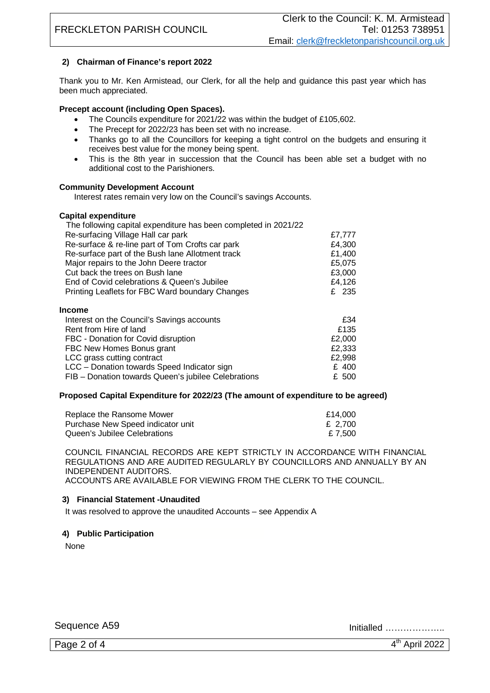# **2) Chairman of Finance's report 2022**

Thank you to Mr. Ken Armistead, our Clerk, for all the help and guidance this past year which has been much appreciated.

## **Precept account (including Open Spaces).**

- The Councils expenditure for 2021/22 was within the budget of £105,602.
- The Precept for 2022/23 has been set with no increase.
- Thanks go to all the Councillors for keeping a tight control on the budgets and ensuring it receives best value for the money being spent.
- This is the 8th year in succession that the Council has been able set a budget with no additional cost to the Parishioners.

### **Community Development Account**

Interest rates remain very low on the Council's savings Accounts.

#### **Capital expenditure**

| The following capital expenditure has been completed in 2021/22 |        |
|-----------------------------------------------------------------|--------|
| Re-surfacing Village Hall car park                              | £7,777 |
| Re-surface & re-line part of Tom Crofts car park                | £4,300 |
| Re-surface part of the Bush lane Allotment track                | £1,400 |
| Major repairs to the John Deere tractor                         | £5,075 |
| Cut back the trees on Bush lane                                 | £3,000 |
| End of Covid celebrations & Queen's Jubilee                     | £4,126 |
| Printing Leaflets for FBC Ward boundary Changes                 | £ 235  |
| <b>Income</b>                                                   |        |
| Interest on the Council's Savings accounts                      | £34    |
| Rent from Hire of land                                          | £135   |
| FBC - Donation for Covid disruption                             | £2,000 |
| FBC New Homes Bonus grant                                       | £2,333 |
| LCC grass cutting contract                                      | £2,998 |
| LCC - Donation towards Speed Indicator sign                     | £ 400  |
|                                                                 |        |

# FIB – Donation towards Queen's jubilee Celebrations £ 500

#### **Proposed Capital Expenditure for 2022/23 (The amount of expenditure to be agreed)**

| Replace the Ransome Mower         | £14.000 |
|-----------------------------------|---------|
| Purchase New Speed indicator unit | £ 2.700 |
| Queen's Jubilee Celebrations      | £ 7.500 |

COUNCIL FINANCIAL RECORDS ARE KEPT STRICTLY IN ACCORDANCE WITH FINANCIAL REGULATIONS AND ARE AUDITED REGULARLY BY COUNCILLORS AND ANNUALLY BY AN INDEPENDENT AUDITORS. ACCOUNTS ARE AVAILABLE FOR VIEWING FROM THE CLERK TO THE COUNCIL.

#### **3) Financial Statement -Unaudited**

It was resolved to approve the unaudited Accounts – see Appendix A

## **4) Public Participation**

None

Sequence A59 Initialled ………………..

Page 2 of 4

 $4<sup>th</sup>$  April 2022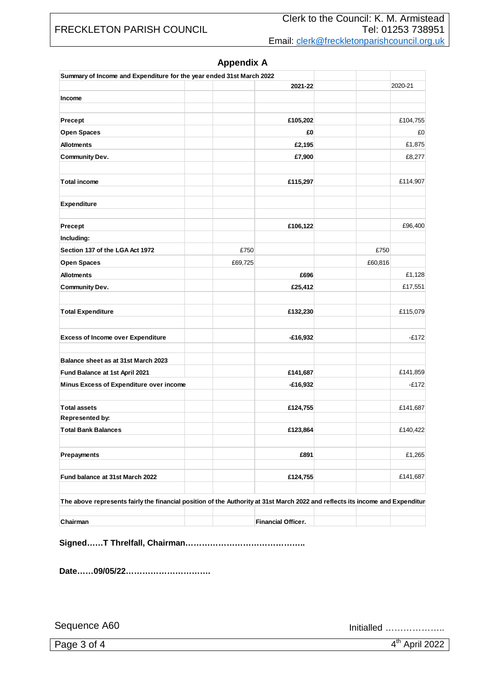# FRECKLETON PARISH COUNCIL

| 2021-22<br>2020-21<br>Income<br>£105,202<br>£104,755<br>Precept<br>Open Spaces<br>£0<br>£0<br>£1,875<br><b>Allotments</b><br>£2,195<br>£7,900<br><b>Community Dev.</b><br>£8,277<br><b>Total income</b><br>£115,297<br>£114,907<br><b>Expenditure</b><br>Precept<br>£106,122<br>£96,400<br>Including:<br>£750<br>£750<br>Section 137 of the LGA Act 1972<br>£60,816<br>Open Spaces<br>£69,725<br><b>Allotments</b><br>£696<br>£1,128<br>£25,412<br><b>Community Dev.</b><br>£17,551<br><b>Total Expenditure</b><br>£132,230<br>£115,079<br>$-E172$<br><b>Excess of Income over Expenditure</b><br>$-£16,932$<br>Balance sheet as at 31st March 2023<br>£141,859<br>Fund Balance at 1st April 2021<br>£141,687<br>Minus Excess of Expenditure over income<br>$-£16,932$<br>$-E172$<br><b>Total assets</b><br>£124,755<br>£141,687<br>Represented by:<br><b>Total Bank Balances</b><br>£123,864<br>£140,422<br>£1,265<br>£891<br>Prepayments<br>Fund balance at 31st March 2022<br>£124,755<br>£141,687<br>The above represents fairly the financial position of the Authority at 31st March 2022 and reflects its income and Expenditur<br>Financial Officer.<br>Chairman | Summary of Income and Expenditure for the year ended 31st March 2022 |  |  |
|--------------------------------------------------------------------------------------------------------------------------------------------------------------------------------------------------------------------------------------------------------------------------------------------------------------------------------------------------------------------------------------------------------------------------------------------------------------------------------------------------------------------------------------------------------------------------------------------------------------------------------------------------------------------------------------------------------------------------------------------------------------------------------------------------------------------------------------------------------------------------------------------------------------------------------------------------------------------------------------------------------------------------------------------------------------------------------------------------------------------------------------------------------------------------|----------------------------------------------------------------------|--|--|
|                                                                                                                                                                                                                                                                                                                                                                                                                                                                                                                                                                                                                                                                                                                                                                                                                                                                                                                                                                                                                                                                                                                                                                          |                                                                      |  |  |
|                                                                                                                                                                                                                                                                                                                                                                                                                                                                                                                                                                                                                                                                                                                                                                                                                                                                                                                                                                                                                                                                                                                                                                          |                                                                      |  |  |
|                                                                                                                                                                                                                                                                                                                                                                                                                                                                                                                                                                                                                                                                                                                                                                                                                                                                                                                                                                                                                                                                                                                                                                          |                                                                      |  |  |
|                                                                                                                                                                                                                                                                                                                                                                                                                                                                                                                                                                                                                                                                                                                                                                                                                                                                                                                                                                                                                                                                                                                                                                          |                                                                      |  |  |
|                                                                                                                                                                                                                                                                                                                                                                                                                                                                                                                                                                                                                                                                                                                                                                                                                                                                                                                                                                                                                                                                                                                                                                          |                                                                      |  |  |
|                                                                                                                                                                                                                                                                                                                                                                                                                                                                                                                                                                                                                                                                                                                                                                                                                                                                                                                                                                                                                                                                                                                                                                          |                                                                      |  |  |
|                                                                                                                                                                                                                                                                                                                                                                                                                                                                                                                                                                                                                                                                                                                                                                                                                                                                                                                                                                                                                                                                                                                                                                          |                                                                      |  |  |
|                                                                                                                                                                                                                                                                                                                                                                                                                                                                                                                                                                                                                                                                                                                                                                                                                                                                                                                                                                                                                                                                                                                                                                          |                                                                      |  |  |
|                                                                                                                                                                                                                                                                                                                                                                                                                                                                                                                                                                                                                                                                                                                                                                                                                                                                                                                                                                                                                                                                                                                                                                          |                                                                      |  |  |
|                                                                                                                                                                                                                                                                                                                                                                                                                                                                                                                                                                                                                                                                                                                                                                                                                                                                                                                                                                                                                                                                                                                                                                          |                                                                      |  |  |
|                                                                                                                                                                                                                                                                                                                                                                                                                                                                                                                                                                                                                                                                                                                                                                                                                                                                                                                                                                                                                                                                                                                                                                          |                                                                      |  |  |
|                                                                                                                                                                                                                                                                                                                                                                                                                                                                                                                                                                                                                                                                                                                                                                                                                                                                                                                                                                                                                                                                                                                                                                          |                                                                      |  |  |
|                                                                                                                                                                                                                                                                                                                                                                                                                                                                                                                                                                                                                                                                                                                                                                                                                                                                                                                                                                                                                                                                                                                                                                          |                                                                      |  |  |
|                                                                                                                                                                                                                                                                                                                                                                                                                                                                                                                                                                                                                                                                                                                                                                                                                                                                                                                                                                                                                                                                                                                                                                          |                                                                      |  |  |
|                                                                                                                                                                                                                                                                                                                                                                                                                                                                                                                                                                                                                                                                                                                                                                                                                                                                                                                                                                                                                                                                                                                                                                          |                                                                      |  |  |
|                                                                                                                                                                                                                                                                                                                                                                                                                                                                                                                                                                                                                                                                                                                                                                                                                                                                                                                                                                                                                                                                                                                                                                          |                                                                      |  |  |
|                                                                                                                                                                                                                                                                                                                                                                                                                                                                                                                                                                                                                                                                                                                                                                                                                                                                                                                                                                                                                                                                                                                                                                          |                                                                      |  |  |
|                                                                                                                                                                                                                                                                                                                                                                                                                                                                                                                                                                                                                                                                                                                                                                                                                                                                                                                                                                                                                                                                                                                                                                          |                                                                      |  |  |
|                                                                                                                                                                                                                                                                                                                                                                                                                                                                                                                                                                                                                                                                                                                                                                                                                                                                                                                                                                                                                                                                                                                                                                          |                                                                      |  |  |
|                                                                                                                                                                                                                                                                                                                                                                                                                                                                                                                                                                                                                                                                                                                                                                                                                                                                                                                                                                                                                                                                                                                                                                          |                                                                      |  |  |
|                                                                                                                                                                                                                                                                                                                                                                                                                                                                                                                                                                                                                                                                                                                                                                                                                                                                                                                                                                                                                                                                                                                                                                          |                                                                      |  |  |
|                                                                                                                                                                                                                                                                                                                                                                                                                                                                                                                                                                                                                                                                                                                                                                                                                                                                                                                                                                                                                                                                                                                                                                          |                                                                      |  |  |
|                                                                                                                                                                                                                                                                                                                                                                                                                                                                                                                                                                                                                                                                                                                                                                                                                                                                                                                                                                                                                                                                                                                                                                          |                                                                      |  |  |
|                                                                                                                                                                                                                                                                                                                                                                                                                                                                                                                                                                                                                                                                                                                                                                                                                                                                                                                                                                                                                                                                                                                                                                          |                                                                      |  |  |
|                                                                                                                                                                                                                                                                                                                                                                                                                                                                                                                                                                                                                                                                                                                                                                                                                                                                                                                                                                                                                                                                                                                                                                          |                                                                      |  |  |
|                                                                                                                                                                                                                                                                                                                                                                                                                                                                                                                                                                                                                                                                                                                                                                                                                                                                                                                                                                                                                                                                                                                                                                          |                                                                      |  |  |

# **Appendix A**

**Signed……T Threlfall, Chairman……………………………………..**

**Date……09/05/22………………………….**